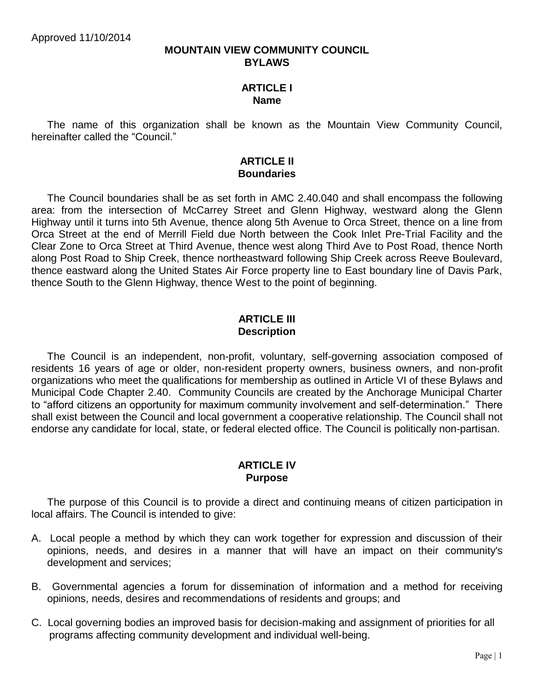#### **MOUNTAIN VIEW COMMUNITY COUNCIL BYLAWS**

#### **ARTICLE I Name**

The name of this organization shall be known as the Mountain View Community Council, hereinafter called the "Council."

#### **ARTICLE II Boundaries**

The Council boundaries shall be as set forth in AMC 2.40.040 and shall encompass the following area: from the intersection of McCarrey Street and Glenn Highway, westward along the Glenn Highway until it turns into 5th Avenue, thence along 5th Avenue to Orca Street, thence on a line from Orca Street at the end of Merrill Field due North between the Cook Inlet Pre-Trial Facility and the Clear Zone to Orca Street at Third Avenue, thence west along Third Ave to Post Road, thence North along Post Road to Ship Creek, thence northeastward following Ship Creek across Reeve Boulevard, thence eastward along the United States Air Force property line to East boundary line of Davis Park, thence South to the Glenn Highway, thence West to the point of beginning.

# **ARTICLE III Description**

The Council is an independent, non-profit, voluntary, self-governing association composed of residents 16 years of age or older, non-resident property owners, business owners, and non-profit organizations who meet the qualifications for membership as outlined in Article VI of these Bylaws and Municipal Code Chapter 2.40. Community Councils are created by the Anchorage Municipal Charter to "afford citizens an opportunity for maximum community involvement and self-determination." There shall exist between the Council and local government a cooperative relationship. The Council shall not endorse any candidate for local, state, or federal elected office. The Council is politically non-partisan.

### **ARTICLE IV Purpose**

The purpose of this Council is to provide a direct and continuing means of citizen participation in local affairs. The Council is intended to give:

- A. Local people a method by which they can work together for expression and discussion of their opinions, needs, and desires in a manner that will have an impact on their community's development and services;
- B. Governmental agencies a forum for dissemination of information and a method for receiving opinions, needs, desires and recommendations of residents and groups; and
- C. Local governing bodies an improved basis for decision-making and assignment of priorities for all programs affecting community development and individual well-being.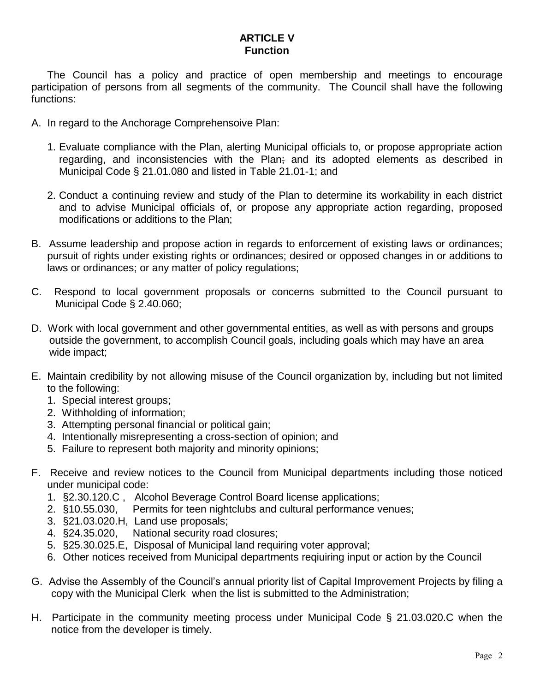# **ARTICLE V Function**

The Council has a policy and practice of open membership and meetings to encourage participation of persons from all segments of the community. The Council shall have the following functions:

- A. In regard to the Anchorage Comprehensoive Plan:
	- 1. Evaluate compliance with the Plan, alerting Municipal officials to, or propose appropriate action regarding, and inconsistencies with the Plan; and its adopted elements as described in Municipal Code § 21.01.080 and listed in Table 21.01-1; and
	- 2. Conduct a continuing review and study of the Plan to determine its workability in each district and to advise Municipal officials of, or propose any appropriate action regarding, proposed modifications or additions to the Plan;
- B. Assume leadership and propose action in regards to enforcement of existing laws or ordinances; pursuit of rights under existing rights or ordinances; desired or opposed changes in or additions to laws or ordinances; or any matter of policy regulations;
- C. Respond to local government proposals or concerns submitted to the Council pursuant to Municipal Code § 2.40.060;
- D. Work with local government and other governmental entities, as well as with persons and groups outside the government, to accomplish Council goals, including goals which may have an area wide impact;
- E. Maintain credibility by not allowing misuse of the Council organization by, including but not limited to the following:
	- 1. Special interest groups;
	- 2. Withholding of information;
	- 3. Attempting personal financial or political gain;
	- 4. Intentionally misrepresenting a cross-section of opinion; and
	- 5. Failure to represent both majority and minority opinions;
- F. Receive and review notices to the Council from Municipal departments including those noticed under municipal code:
	- 1. §2.30.120.C , Alcohol Beverage Control Board license applications;
	- 2. §10.55.030, Permits for teen nightclubs and cultural performance venues;
	- 3. §21.03.020.H, Land use proposals;
	- 4. §24.35.020, National security road closures;
	- 5. §25.30.025.E, Disposal of Municipal land requiring voter approval;
	- 6. Other notices received from Municipal departments reqiuiring input or action by the Council
- G. Advise the Assembly of the Council's annual priority list of Capital Improvement Projects by filing a copy with the Municipal Clerk when the list is submitted to the Administration;
- H. Participate in the community meeting process under Municipal Code § 21.03.020.C when the notice from the developer is timely.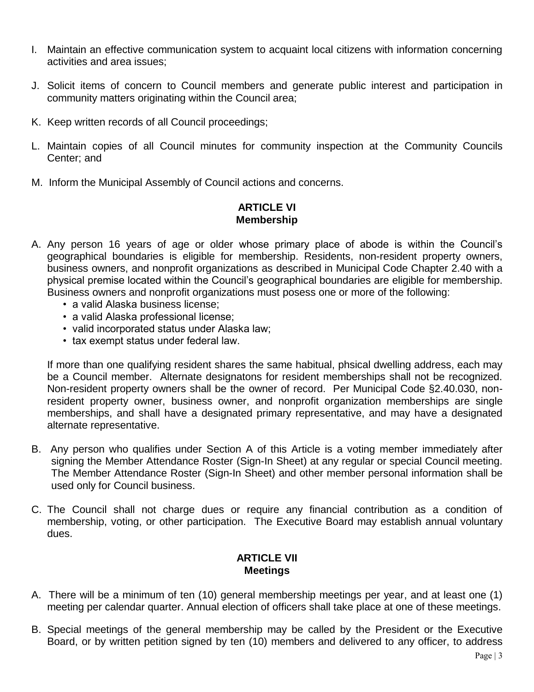- I. Maintain an effective communication system to acquaint local citizens with information concerning activities and area issues;
- J. Solicit items of concern to Council members and generate public interest and participation in community matters originating within the Council area;
- K. Keep written records of all Council proceedings;
- L. Maintain copies of all Council minutes for community inspection at the Community Councils Center; and
- M. Inform the Municipal Assembly of Council actions and concerns.

# **ARTICLE VI Membership**

- A. Any person 16 years of age or older whose primary place of abode is within the Council's geographical boundaries is eligible for membership. Residents, non-resident property owners, business owners, and nonprofit organizations as described in Municipal Code Chapter 2.40 with a physical premise located within the Council's geographical boundaries are eligible for membership. Business owners and nonprofit organizations must posess one or more of the following:
	- a valid Alaska business license;
	- a valid Alaska professional license;
	- valid incorporated status under Alaska law;
	- tax exempt status under federal law.

If more than one qualifying resident shares the same habitual, phsical dwelling address, each may be a Council member. Alternate designatons for resident memberships shall not be recognized. Non-resident property owners shall be the owner of record. Per Municipal Code §2.40.030, nonresident property owner, business owner, and nonprofit organization memberships are single memberships, and shall have a designated primary representative, and may have a designated alternate representative.

- B. Any person who qualifies under Section A of this Article is a voting member immediately after signing the Member Attendance Roster (Sign-In Sheet) at any regular or special Council meeting. The Member Attendance Roster (Sign-In Sheet) and other member personal information shall be used only for Council business.
- C. The Council shall not charge dues or require any financial contribution as a condition of membership, voting, or other participation. The Executive Board may establish annual voluntary dues.

### **ARTICLE VII Meetings**

- A. There will be a minimum of ten (10) general membership meetings per year, and at least one (1) meeting per calendar quarter. Annual election of officers shall take place at one of these meetings.
- B. Special meetings of the general membership may be called by the President or the Executive Board, or by written petition signed by ten (10) members and delivered to any officer, to address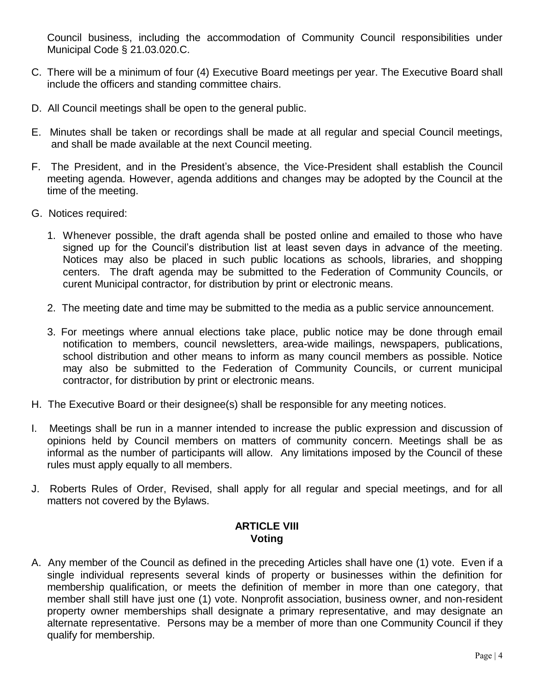Council business, including the accommodation of Community Council responsibilities under Municipal Code § 21.03.020.C.

- C. There will be a minimum of four (4) Executive Board meetings per year. The Executive Board shall include the officers and standing committee chairs.
- D. All Council meetings shall be open to the general public.
- E. Minutes shall be taken or recordings shall be made at all regular and special Council meetings, and shall be made available at the next Council meeting.
- F. The President, and in the President's absence, the Vice-President shall establish the Council meeting agenda. However, agenda additions and changes may be adopted by the Council at the time of the meeting.
- G. Notices required:
	- 1. Whenever possible, the draft agenda shall be posted online and emailed to those who have signed up for the Council's distribution list at least seven days in advance of the meeting. Notices may also be placed in such public locations as schools, libraries, and shopping centers. The draft agenda may be submitted to the Federation of Community Councils, or curent Municipal contractor, for distribution by print or electronic means.
	- 2. The meeting date and time may be submitted to the media as a public service announcement.
	- 3. For meetings where annual elections take place, public notice may be done through email notification to members, council newsletters, area-wide mailings, newspapers, publications, school distribution and other means to inform as many council members as possible. Notice may also be submitted to the Federation of Community Councils, or current municipal contractor, for distribution by print or electronic means.
- H. The Executive Board or their designee(s) shall be responsible for any meeting notices.
- I. Meetings shall be run in a manner intended to increase the public expression and discussion of opinions held by Council members on matters of community concern. Meetings shall be as informal as the number of participants will allow. Any limitations imposed by the Council of these rules must apply equally to all members.
- J. Roberts Rules of Order, Revised, shall apply for all regular and special meetings, and for all matters not covered by the Bylaws.

## **ARTICLE VIII Voting**

A. Any member of the Council as defined in the preceding Articles shall have one (1) vote. Even if a single individual represents several kinds of property or businesses within the definition for membership qualification, or meets the definition of member in more than one category, that member shall still have just one (1) vote. Nonprofit association, business owner, and non-resident property owner memberships shall designate a primary representative, and may designate an alternate representative. Persons may be a member of more than one Community Council if they qualify for membership.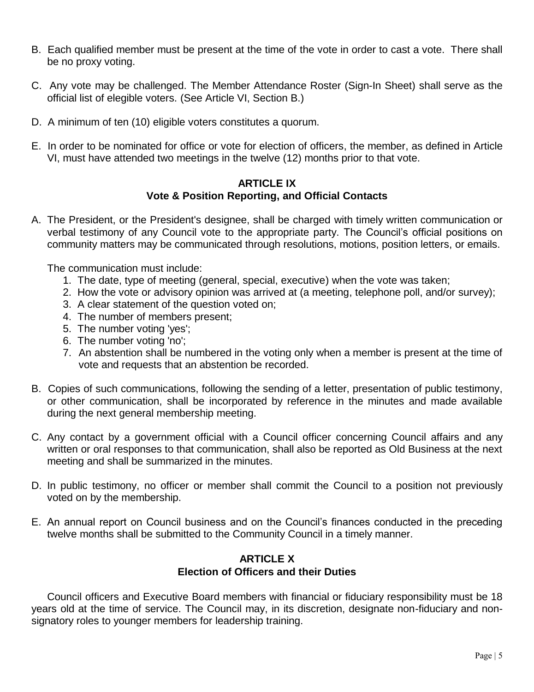- B. Each qualified member must be present at the time of the vote in order to cast a vote. There shall be no proxy voting.
- C. Any vote may be challenged. The Member Attendance Roster (Sign-In Sheet) shall serve as the official list of elegible voters. (See Article VI, Section B.)
- D. A minimum of ten (10) eligible voters constitutes a quorum.
- E. In order to be nominated for office or vote for election of officers, the member, as defined in Article VI, must have attended two meetings in the twelve (12) months prior to that vote.

### **ARTICLE IX Vote & Position Reporting, and Official Contacts**

A. The President, or the President's designee, shall be charged with timely written communication or verbal testimony of any Council vote to the appropriate party. The Council's official positions on community matters may be communicated through resolutions, motions, position letters, or emails.

The communication must include:

- 1. The date, type of meeting (general, special, executive) when the vote was taken;
- 2. How the vote or advisory opinion was arrived at (a meeting, telephone poll, and/or survey);
- 3. A clear statement of the question voted on;
- 4. The number of members present;
- 5. The number voting 'yes';
- 6. The number voting 'no';
- 7. An abstention shall be numbered in the voting only when a member is present at the time of vote and requests that an abstention be recorded.
- B. Copies of such communications, following the sending of a letter, presentation of public testimony, or other communication, shall be incorporated by reference in the minutes and made available during the next general membership meeting.
- C. Any contact by a government official with a Council officer concerning Council affairs and any written or oral responses to that communication, shall also be reported as Old Business at the next meeting and shall be summarized in the minutes.
- D. In public testimony, no officer or member shall commit the Council to a position not previously voted on by the membership.
- E. An annual report on Council business and on the Council's finances conducted in the preceding twelve months shall be submitted to the Community Council in a timely manner.

# **ARTICLE X Election of Officers and their Duties**

Council officers and Executive Board members with financial or fiduciary responsibility must be 18 years old at the time of service. The Council may, in its discretion, designate non-fiduciary and nonsignatory roles to younger members for leadership training.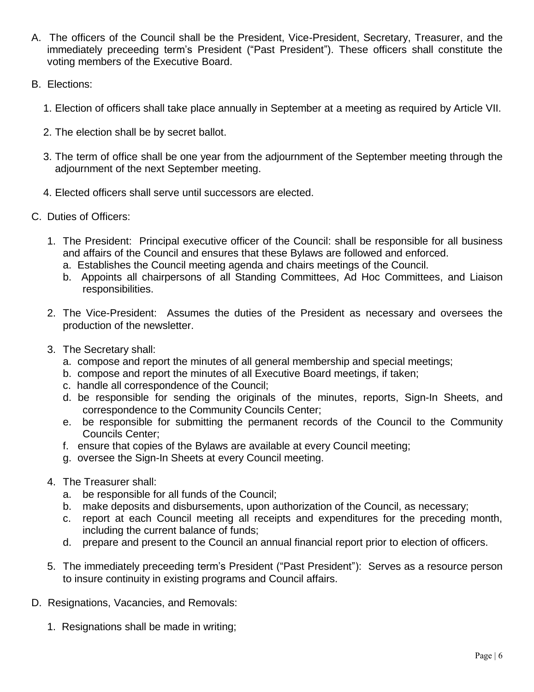- A. The officers of the Council shall be the President, Vice-President, Secretary, Treasurer, and the immediately preceeding term's President ("Past President"). These officers shall constitute the voting members of the Executive Board.
- B. Elections:
	- 1. Election of officers shall take place annually in September at a meeting as required by Article VII.
	- 2. The election shall be by secret ballot.
	- 3. The term of office shall be one year from the adjournment of the September meeting through the adjournment of the next September meeting.
	- 4. Elected officers shall serve until successors are elected.
- C. Duties of Officers:
	- 1. The President: Principal executive officer of the Council: shall be responsible for all business and affairs of the Council and ensures that these Bylaws are followed and enforced.
		- a. Establishes the Council meeting agenda and chairs meetings of the Council.
		- b. Appoints all chairpersons of all Standing Committees, Ad Hoc Committees, and Liaison responsibilities.
	- 2. The Vice-President: Assumes the duties of the President as necessary and oversees the production of the newsletter.
	- 3. The Secretary shall:
		- a. compose and report the minutes of all general membership and special meetings;
		- b. compose and report the minutes of all Executive Board meetings, if taken;
		- c. handle all correspondence of the Council;
		- d. be responsible for sending the originals of the minutes, reports, Sign-In Sheets, and correspondence to the Community Councils Center;
		- e. be responsible for submitting the permanent records of the Council to the Community Councils Center;
		- f. ensure that copies of the Bylaws are available at every Council meeting;
		- g. oversee the Sign-In Sheets at every Council meeting.
	- 4. The Treasurer shall:
		- a. be responsible for all funds of the Council;
		- b. make deposits and disbursements, upon authorization of the Council, as necessary;
		- c. report at each Council meeting all receipts and expenditures for the preceding month, including the current balance of funds;
		- d. prepare and present to the Council an annual financial report prior to election of officers.
	- 5. The immediately preceeding term's President ("Past President"): Serves as a resource person to insure continuity in existing programs and Council affairs.
- D. Resignations, Vacancies, and Removals:
	- 1. Resignations shall be made in writing;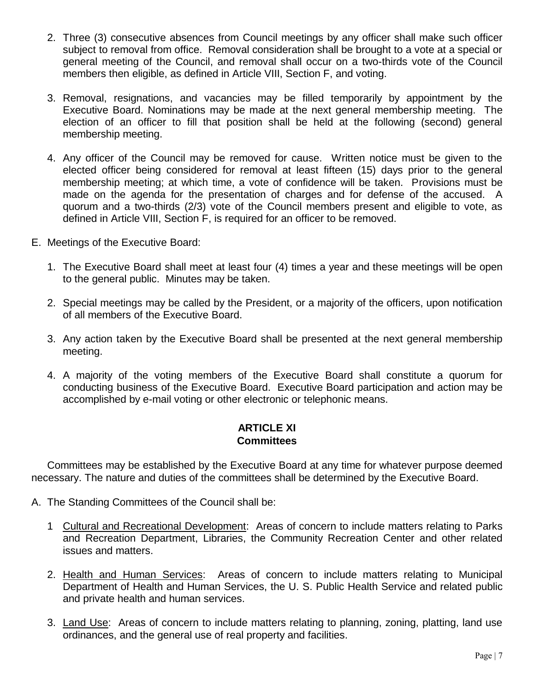- 2. Three (3) consecutive absences from Council meetings by any officer shall make such officer subject to removal from office. Removal consideration shall be brought to a vote at a special or general meeting of the Council, and removal shall occur on a two-thirds vote of the Council members then eligible, as defined in Article VIII, Section F, and voting.
- 3. Removal, resignations, and vacancies may be filled temporarily by appointment by the Executive Board. Nominations may be made at the next general membership meeting. The election of an officer to fill that position shall be held at the following (second) general membership meeting.
- 4. Any officer of the Council may be removed for cause. Written notice must be given to the elected officer being considered for removal at least fifteen (15) days prior to the general membership meeting; at which time, a vote of confidence will be taken. Provisions must be made on the agenda for the presentation of charges and for defense of the accused. A quorum and a two-thirds (2/3) vote of the Council members present and eligible to vote, as defined in Article VIII, Section F, is required for an officer to be removed.
- E. Meetings of the Executive Board:
	- 1. The Executive Board shall meet at least four (4) times a year and these meetings will be open to the general public. Minutes may be taken.
	- 2. Special meetings may be called by the President, or a majority of the officers, upon notification of all members of the Executive Board.
	- 3. Any action taken by the Executive Board shall be presented at the next general membership meeting.
	- 4. A majority of the voting members of the Executive Board shall constitute a quorum for conducting business of the Executive Board. Executive Board participation and action may be accomplished by e-mail voting or other electronic or telephonic means.

#### **ARTICLE XI Committees**

Committees may be established by the Executive Board at any time for whatever purpose deemed necessary. The nature and duties of the committees shall be determined by the Executive Board.

- A. The Standing Committees of the Council shall be:
	- 1 Cultural and Recreational Development: Areas of concern to include matters relating to Parks and Recreation Department, Libraries, the Community Recreation Center and other related issues and matters.
	- 2. Health and Human Services: Areas of concern to include matters relating to Municipal Department of Health and Human Services, the U. S. Public Health Service and related public and private health and human services.
	- 3. Land Use: Areas of concern to include matters relating to planning, zoning, platting, land use ordinances, and the general use of real property and facilities.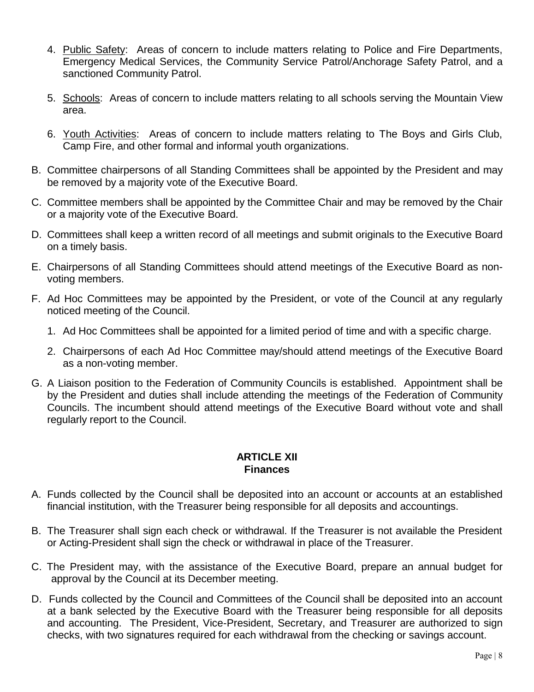- 4. Public Safety: Areas of concern to include matters relating to Police and Fire Departments, Emergency Medical Services, the Community Service Patrol/Anchorage Safety Patrol, and a sanctioned Community Patrol.
- 5. Schools: Areas of concern to include matters relating to all schools serving the Mountain View area.
- 6. Youth Activities: Areas of concern to include matters relating to The Boys and Girls Club, Camp Fire, and other formal and informal youth organizations.
- B. Committee chairpersons of all Standing Committees shall be appointed by the President and may be removed by a majority vote of the Executive Board.
- C. Committee members shall be appointed by the Committee Chair and may be removed by the Chair or a majority vote of the Executive Board.
- D. Committees shall keep a written record of all meetings and submit originals to the Executive Board on a timely basis.
- E. Chairpersons of all Standing Committees should attend meetings of the Executive Board as nonvoting members.
- F. Ad Hoc Committees may be appointed by the President, or vote of the Council at any regularly noticed meeting of the Council.
	- 1. Ad Hoc Committees shall be appointed for a limited period of time and with a specific charge.
	- 2. Chairpersons of each Ad Hoc Committee may/should attend meetings of the Executive Board as a non-voting member.
- G. A Liaison position to the Federation of Community Councils is established. Appointment shall be by the President and duties shall include attending the meetings of the Federation of Community Councils. The incumbent should attend meetings of the Executive Board without vote and shall regularly report to the Council.

### **ARTICLE XII Finances**

- A. Funds collected by the Council shall be deposited into an account or accounts at an established financial institution, with the Treasurer being responsible for all deposits and accountings.
- B. The Treasurer shall sign each check or withdrawal. If the Treasurer is not available the President or Acting-President shall sign the check or withdrawal in place of the Treasurer.
- C. The President may, with the assistance of the Executive Board, prepare an annual budget for approval by the Council at its December meeting.
- D. Funds collected by the Council and Committees of the Council shall be deposited into an account at a bank selected by the Executive Board with the Treasurer being responsible for all deposits and accounting. The President, Vice-President, Secretary, and Treasurer are authorized to sign checks, with two signatures required for each withdrawal from the checking or savings account.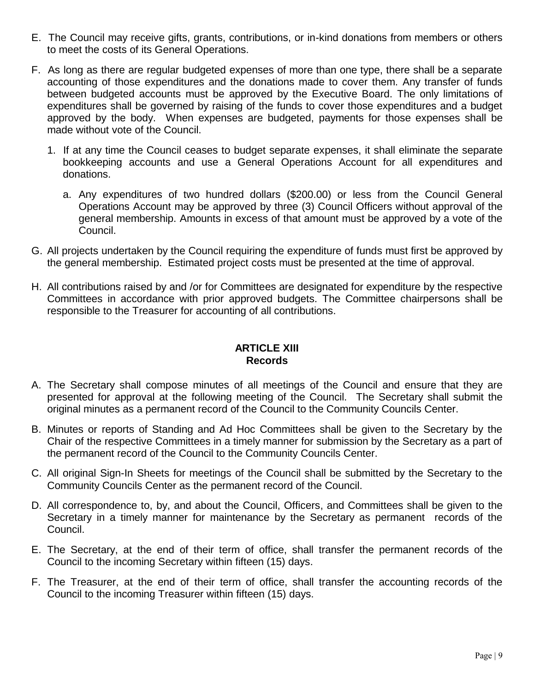- E. The Council may receive gifts, grants, contributions, or in-kind donations from members or others to meet the costs of its General Operations.
- F. As long as there are regular budgeted expenses of more than one type, there shall be a separate accounting of those expenditures and the donations made to cover them. Any transfer of funds between budgeted accounts must be approved by the Executive Board. The only limitations of expenditures shall be governed by raising of the funds to cover those expenditures and a budget approved by the body. When expenses are budgeted, payments for those expenses shall be made without vote of the Council.
	- 1. If at any time the Council ceases to budget separate expenses, it shall eliminate the separate bookkeeping accounts and use a General Operations Account for all expenditures and donations.
		- a. Any expenditures of two hundred dollars (\$200.00) or less from the Council General Operations Account may be approved by three (3) Council Officers without approval of the general membership. Amounts in excess of that amount must be approved by a vote of the Council.
- G. All projects undertaken by the Council requiring the expenditure of funds must first be approved by the general membership. Estimated project costs must be presented at the time of approval.
- H. All contributions raised by and /or for Committees are designated for expenditure by the respective Committees in accordance with prior approved budgets. The Committee chairpersons shall be responsible to the Treasurer for accounting of all contributions.

# **ARTICLE XIII Records**

- A. The Secretary shall compose minutes of all meetings of the Council and ensure that they are presented for approval at the following meeting of the Council. The Secretary shall submit the original minutes as a permanent record of the Council to the Community Councils Center.
- B. Minutes or reports of Standing and Ad Hoc Committees shall be given to the Secretary by the Chair of the respective Committees in a timely manner for submission by the Secretary as a part of the permanent record of the Council to the Community Councils Center.
- C. All original Sign-In Sheets for meetings of the Council shall be submitted by the Secretary to the Community Councils Center as the permanent record of the Council.
- D. All correspondence to, by, and about the Council, Officers, and Committees shall be given to the Secretary in a timely manner for maintenance by the Secretary as permanent records of the Council.
- E. The Secretary, at the end of their term of office, shall transfer the permanent records of the Council to the incoming Secretary within fifteen (15) days.
- F. The Treasurer, at the end of their term of office, shall transfer the accounting records of the Council to the incoming Treasurer within fifteen (15) days.